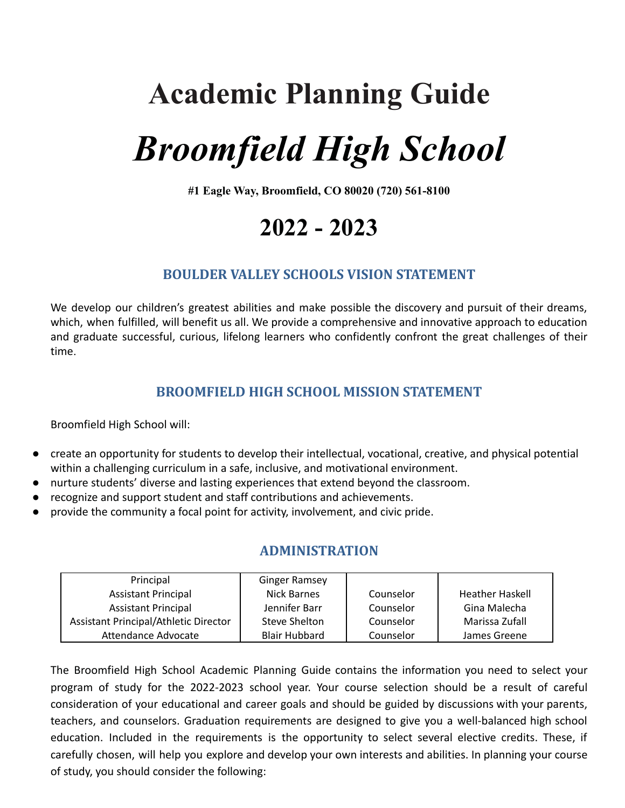## **Academic Planning Guide**

# *Broomfield High School*

**#1 Eagle Way, Broomfield, CO 80020 (720) 561-8100**

### **2022 - 2023**

#### **BOULDER VALLEY SCHOOLS VISION STATEMENT**

We develop our children's greatest abilities and make possible the discovery and pursuit of their dreams, which, when fulfilled, will benefit us all. We provide a comprehensive and innovative approach to education and graduate successful, curious, lifelong learners who confidently confront the great challenges of their time.

#### **BROOMFIELD HIGH SCHOOL MISSION STATEMENT**

Broomfield High School will:

- create an opportunity for students to develop their intellectual, vocational, creative, and physical potential within a challenging curriculum in a safe, inclusive, and motivational environment.
- nurture students' diverse and lasting experiences that extend beyond the classroom.
- recognize and support student and staff contributions and achievements.
- provide the community a focal point for activity, involvement, and civic pride.

#### **ADMINISTRATION**

| Principal                             | <b>Ginger Ramsey</b> |           |                        |
|---------------------------------------|----------------------|-----------|------------------------|
| <b>Assistant Principal</b>            | Nick Barnes          | Counselor | <b>Heather Haskell</b> |
| <b>Assistant Principal</b>            | Jennifer Barr        | Counselor | Gina Malecha           |
| Assistant Principal/Athletic Director | Steve Shelton        | Counselor | Marissa Zufall         |
| Attendance Advocate                   | <b>Blair Hubbard</b> | Counselor | James Greene           |

The Broomfield High School Academic Planning Guide contains the information you need to select your program of study for the 2022-2023 school year. Your course selection should be a result of careful consideration of your educational and career goals and should be guided by discussions with your parents, teachers, and counselors. Graduation requirements are designed to give you a well-balanced high school education. Included in the requirements is the opportunity to select several elective credits. These, if carefully chosen, will help you explore and develop your own interests and abilities. In planning your course of study, you should consider the following: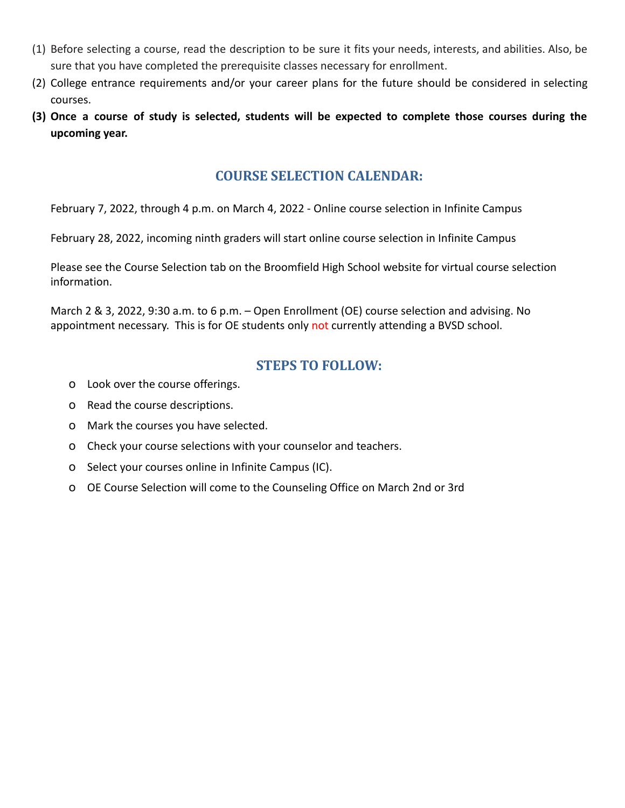- (1) Before selecting a course, read the description to be sure it fits your needs, interests, and abilities. Also, be sure that you have completed the prerequisite classes necessary for enrollment.
- (2) College entrance requirements and/or your career plans for the future should be considered in selecting courses.
- (3) Once a course of study is selected, students will be expected to complete those courses during the **upcoming year.**

#### **COURSE SELECTION CALENDAR:**

February 7, 2022, through 4 p.m. on March 4, 2022 - Online course selection in Infinite Campus

February 28, 2022, incoming ninth graders will start online course selection in Infinite Campus

Please see the Course Selection tab on the Broomfield High School website for virtual course selection information.

March 2 & 3, 2022, 9:30 a.m. to 6 p.m. – Open Enrollment (OE) course selection and advising. No appointment necessary. This is for OE students only not currently attending a BVSD school.

#### **STEPS TO FOLLOW:**

- o Look over the course offerings.
- o Read the course descriptions.
- o Mark the courses you have selected.
- o Check your course selections with your counselor and teachers.
- o Select your courses online in Infinite Campus (IC).
- o OE Course Selection will come to the Counseling Office on March 2nd or 3rd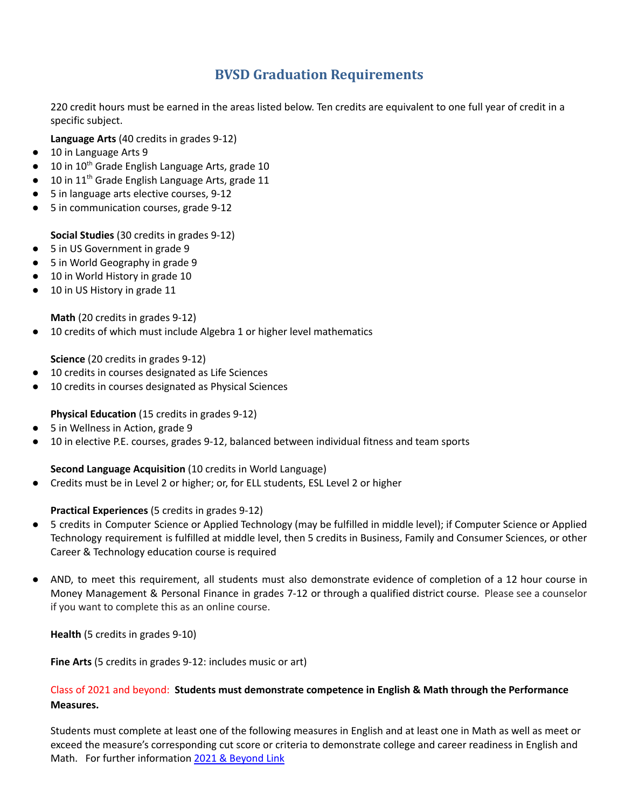#### **BVSD Graduation Requirements**

220 credit hours must be earned in the areas listed below. Ten credits are equivalent to one full year of credit in a specific subject.

**Language Arts** (40 credits in grades 9-12)

- 10 in Language Arts 9
- 10 in 10<sup>th</sup> Grade English Language Arts, grade 10
- 10 in 11<sup>th</sup> Grade English Language Arts, grade 11
- 5 in language arts elective courses, 9-12
- 5 in communication courses, grade 9-12

**Social Studies** (30 credits in grades 9-12)

- 5 in US Government in grade 9
- 5 in World Geography in grade 9
- 10 in World History in grade 10
- 10 in US History in grade 11

**Math** (20 credits in grades 9-12)

● 10 credits of which must include Algebra 1 or higher level mathematics

**Science** (20 credits in grades 9-12)

- 10 credits in courses designated as Life Sciences
- 10 credits in courses designated as Physical Sciences

#### **Physical Education** (15 credits in grades 9-12)

- 5 in Wellness in Action, grade 9
- 10 in elective P.E. courses, grades 9-12, balanced between individual fitness and team sports

#### **Second Language Acquisition** (10 credits in World Language)

● Credits must be in Level 2 or higher; or, for ELL students, ESL Level 2 or higher

#### **Practical Experiences** (5 credits in grades 9-12)

- 5 credits in Computer Science or Applied Technology (may be fulfilled in middle level); if Computer Science or Applied Technology requirement is fulfilled at middle level, then 5 credits in Business, Family and Consumer Sciences, or other Career & Technology education course is required
- AND, to meet this requirement, all students must also demonstrate evidence of completion of a 12 hour course in Money Management & Personal Finance in grades 7-12 or through a qualified district course. Please see a counselor if you want to complete this as an online course.

**Health** (5 credits in grades 9-10)

**Fine Arts** (5 credits in grades 9-12: includes music or art)

#### Class of 2021 and beyond: **Students must demonstrate competence in English & Math through the Performance Measures.**

Students must complete at least one of the following measures in English and at least one in Math as well as meet or exceed the measure's corresponding cut score or criteria to demonstrate college and career readiness in English and Math. For further information 2021 & [Beyond](https://www.bvsd.org/graduation-requirements/Pages/default.aspx) Link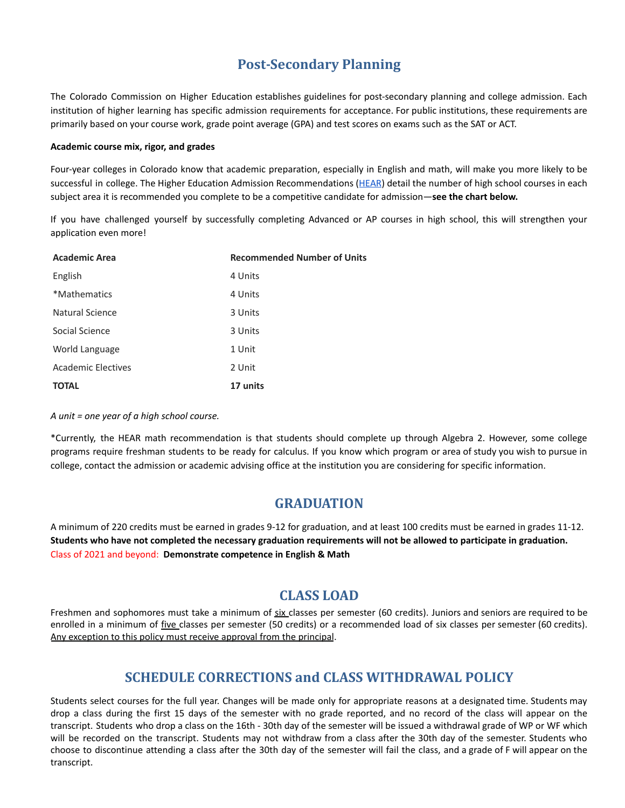#### **Post-Secondary Planning**

The Colorado Commission on Higher Education establishes guidelines for post-secondary planning and college admission. Each institution of higher learning has specific admission requirements for acceptance. For public institutions, these requirements are primarily based on your course work, grade point average (GPA) and test scores on exams such as the SAT or ACT.

#### **Academic course mix, rigor, and grades**

Four-year colleges in Colorado know that academic preparation, especially in English and math, will make you more likely to be successful in college. The Higher Education Admission Recommendations ([HEAR\)](https://highered.colorado.gov/Academics/Admissions/coursecompletion.html) detail the number of high school courses in each subject area it is recommended you complete to be a competitive candidate for admission—**see the chart below.**

If you have challenged yourself by successfully completing Advanced or AP courses in high school, this will strengthen your application even more!

| <b>Academic Area</b>      | <b>Recommended Number of Units</b> |
|---------------------------|------------------------------------|
| English                   | 4 Units                            |
| *Mathematics              | 4 Units                            |
| <b>Natural Science</b>    | 3 Units                            |
| Social Science            | 3 Units                            |
| World Language            | 1 Unit                             |
| <b>Academic Electives</b> | 2 Unit                             |
| <b>TOTAL</b>              | 17 units                           |

*A unit = one year of a high school course.*

\*Currently, the HEAR math recommendation is that students should complete up through Algebra 2. However, some college programs require freshman students to be ready for calculus. If you know which program or area of study you wish to pursue in college, contact the admission or academic advising office at the institution you are considering for specific information.

#### **GRADUATION**

A minimum of 220 credits must be earned in grades 9-12 for graduation, and at least 100 credits must be earned in grades 11-12. Students who have not completed the necessary graduation requirements will not be allowed to participate in graduation. Class of 2021 and beyond: **Demonstrate competence in English & Math**

#### **CLASS LOAD**

Freshmen and sophomores must take a minimum of six classes per semester (60 credits). Juniors and seniors are required to be enrolled in a minimum of five classes per semester (50 credits) or a recommended load of six classes per semester (60 credits). Any exception to this policy must receive approval from the principal.

#### **SCHEDULE CORRECTIONS and CLASS WITHDRAWAL POLICY**

Students select courses for the full year. Changes will be made only for appropriate reasons at a designated time. Students may drop a class during the first 15 days of the semester with no grade reported, and no record of the class will appear on the transcript. Students who drop a class on the 16th - 30th day of the semester will be issued a withdrawal grade of WP or WF which will be recorded on the transcript. Students may not withdraw from a class after the 30th day of the semester. Students who choose to discontinue attending a class after the 30th day of the semester will fail the class, and a grade of F will appear on the transcript.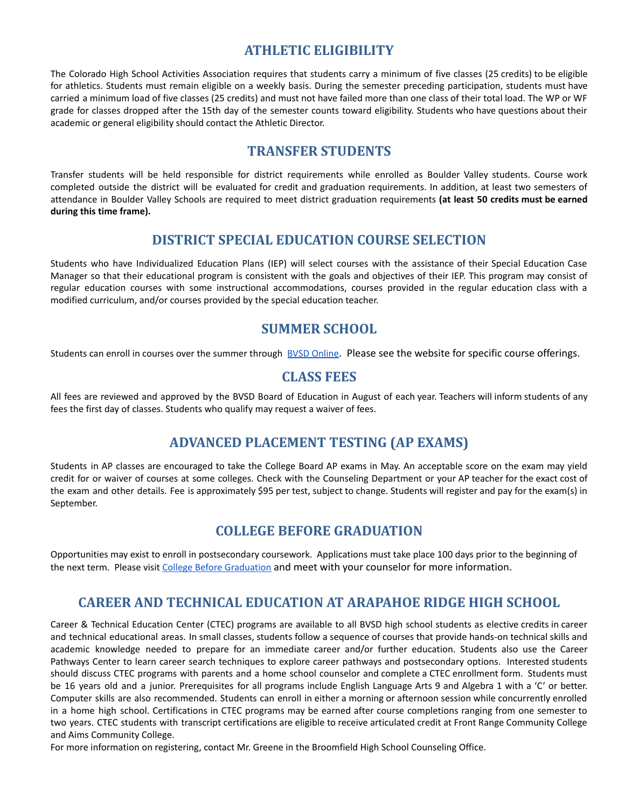#### **ATHLETIC ELIGIBILITY**

The Colorado High School Activities Association requires that students carry a minimum of five classes (25 credits) to be eligible for athletics. Students must remain eligible on a weekly basis. During the semester preceding participation, students must have carried a minimum load of five classes (25 credits) and must not have failed more than one class of their total load. The WP or WF grade for classes dropped after the 15th day of the semester counts toward eligibility. Students who have questions about their academic or general eligibility should contact the Athletic Director.

#### **TRANSFER STUDENTS**

Transfer students will be held responsible for district requirements while enrolled as Boulder Valley students. Course work completed outside the district will be evaluated for credit and graduation requirements. In addition, at least two semesters of attendance in Boulder Valley Schools are required to meet district graduation requirements **(at least 50 credits must be earned during this time frame).**

#### **DISTRICT SPECIAL EDUCATION COURSE SELECTION**

Students who have Individualized Education Plans (IEP) will select courses with the assistance of their Special Education Case Manager so that their educational program is consistent with the goals and objectives of their IEP. This program may consist of regular education courses with some instructional accommodations, courses provided in the regular education class with a modified curriculum, and/or courses provided by the special education teacher.

#### **SUMMER SCHOOL**

Students can enroll in courses over the summer through BVSD [Online](https://online.bvsd.org/). Please see the website for specific course offerings.

#### **CLASS FEES**

All fees are reviewed and approved by the BVSD Board of Education in August of each year. Teachers will inform students of any fees the first day of classes. Students who qualify may request a waiver of fees.

#### **ADVANCED PLACEMENT TESTING (AP EXAMS)**

Students in AP classes are encouraged to take the College Board AP exams in May. An acceptable score on the exam may yield credit for or waiver of courses at some colleges. Check with the Counseling Department or your AP teacher for the exact cost of the exam and other details. Fee is approximately \$95 per test, subject to change. Students will register and pay for the exam(s) in September.

#### **COLLEGE BEFORE GRADUATION**

Opportunities may exist to enroll in postsecondary coursework. Applications must take place 100 days prior to the beginning of the next term. Please visit College Before [Graduation](https://www.bvsd.org/parents-students/academics/college-and-career-readiness/concurrent-enrollment) and meet with your counselor for more information.

#### **CAREER AND TECHNICAL EDUCATION AT ARAPAHOE RIDGE HIGH SCHOOL**

Career & Technical Education Center (CTEC) programs are available to all BVSD high school students as elective credits in career and technical educational areas. In small classes, students follow a sequence of courses that provide hands‐on technical skills and academic knowledge needed to prepare for an immediate career and/or further education. Students also use the Career Pathways Center to learn career search techniques to explore career pathways and postsecondary options. Interested students should discuss CTEC programs with parents and a home school counselor and complete a CTEC enrollment form. Students must be 16 years old and a junior. Prerequisites for all programs include English Language Arts 9 and Algebra 1 with a 'C' or better. Computer skills are also recommended. Students can enroll in either a morning or afternoon session while concurrently enrolled in a home high school. Certifications in CTEC programs may be earned after course completions ranging from one semester to two years. CTEC students with transcript certifications are eligible to receive articulated credit at Front Range Community College and Aims Community College.

For more information on registering, contact Mr. Greene in the Broomfield High School Counseling Office.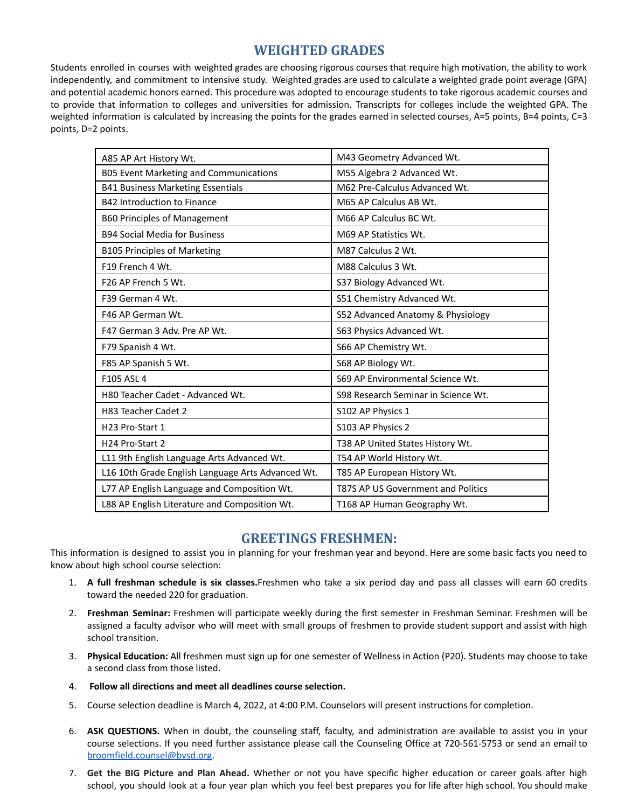#### **WEIGHTED GRADES**

Students enrolled in courses with weighted grades are choosing rigorous courses that require high motivation, the ability to work independently, and commitment to intensive study. Weighted grades are used to calculate a weighted grade point average (GPA) and potential academic honors earned. This procedure was adopted to encourage students to take rigorous academic courses and to provide that information to colleges and universities for admission. Transcripts for colleges include the weighted GPA. The weighted information is calculated by increasing the points for the grades earned in selected courses, A=5 points, B=4 points, C=3 points, D=2 points.

| A85 AP Art History Wt.                            | M43 Geometry Advanced Wt.           |
|---------------------------------------------------|-------------------------------------|
| B05 Event Marketing and Communications            | M55 Algebra 2 Advanced Wt.          |
| <b>B41 Business Marketing Essentials</b>          | M62 Pre-Calculus Advanced Wt.       |
| B42 Introduction to Finance                       | M65 AP Calculus AB Wt.              |
| <b>B60 Principles of Management</b>               | M66 AP Calculus BC Wt.              |
| <b>B94 Social Media for Business</b>              | M69 AP Statistics Wt.               |
| <b>B105 Principles of Marketing</b>               | M87 Calculus 2 Wt.                  |
| F19 French 4 Wt.                                  | M88 Calculus 3 Wt.                  |
| F <sub>26</sub> AP French 5 Wt.                   | S37 Biology Advanced Wt.            |
| F39 German 4 Wt.                                  | S51 Chemistry Advanced Wt.          |
| F46 AP German Wt.                                 | S52 Advanced Anatomy & Physiology   |
| F47 German 3 Adv. Pre AP Wt.                      | S63 Physics Advanced Wt.            |
| F79 Spanish 4 Wt.                                 | S66 AP Chemistry Wt.                |
| F85 AP Spanish 5 Wt.                              | S68 AP Biology Wt.                  |
| F105 ASL 4                                        | S69 AP Environmental Science Wt.    |
| H80 Teacher Cadet - Advanced Wt.                  | S98 Research Seminar in Science Wt. |
| H83 Teacher Cadet 2                               | S102 AP Physics 1                   |
| H23 Pro-Start 1                                   | S103 AP Physics 2                   |
| H <sub>24</sub> Pro-Start 2                       | T38 AP United States History Wt.    |
| L11 9th English Language Arts Advanced Wt.        | T54 AP World History Wt.            |
| L16 10th Grade English Language Arts Advanced Wt. | T85 AP European History Wt.         |
| L77 AP English Language and Composition Wt.       | T87S AP US Government and Politics  |
| L88 AP English Literature and Composition Wt.     | T168 AP Human Geography Wt.         |

#### **GREETINGS FRESHMEN:**

This information is designed to assist you in planning for your freshman year and beyond. Here are some basic facts you need to know about high school course selection:

- 1. **A full freshman schedule is six classes.**Freshmen who take a six period day and pass all classes will earn 60 credits toward the needed 220 for graduation.
- 2. **Freshman Seminar:** Freshmen will participate weekly during the first semester in Freshman Seminar. Freshmen will be assigned a faculty advisor who will meet with small groups of freshmen to provide student support and assist with high school transition.
- 3. **Physical Education:** All freshmen must sign up for one semester of Wellness in Action (P20). Students may choose to take a second class from those listed.
- 4. **Follow all directions and meet all deadlines course selection.**
- 5. Course selection deadline is March 4, 2022, at 4:00 P.M. Counselors will present instructions for completion.
- 6. **ASK QUESTIONS.** When in doubt, the counseling staff, faculty, and administration are available to assist you in your course selections. If you need further assistance please call the Counseling Office at 720-561-5753 or send an email to [broomfield.counsel@bvsd.org.](mailto:broomfield.counsel@bvsd.org)
- 7. **Get the BIG Picture and Plan Ahead.** Whether or not you have specific higher education or career goals after high school, you should look at a four year plan which you feel best prepares you for life after high school. You should make